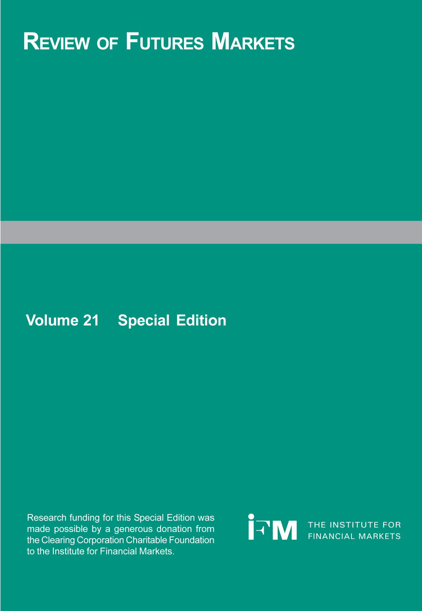# **REVIEW OF FUTURES MARKETS**

# **Volume 21 Special Edition**

Research funding for this Special Edition was made possible by a generous donation from the Clearing Corporation Charitable Foundation to the Institute for Financial Markets.

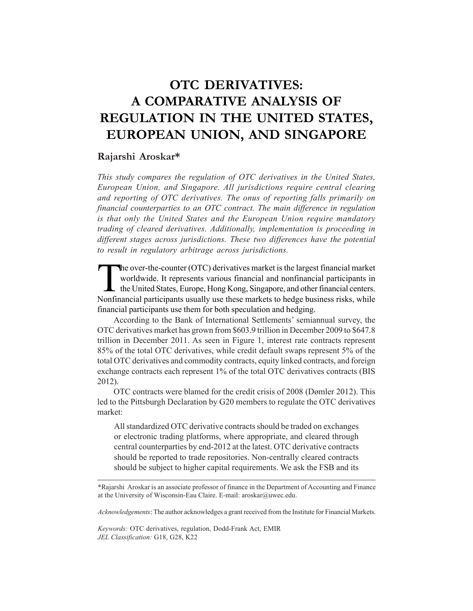# **OTC DERIVATIVES: A COMPARATIVE ANALYSIS OF REGULATION IN THE UNITED STATES, EUROPEAN UNION, AND SINGAPORE**

## **Rajarshi Aroskar\***

*This study compares the regulation of OTC derivatives in the United States, European Union, and Singapore. All jurisdictions require central clearing and reporting of OTC derivatives. The onus of reporting falls primarily on financial counterparties to an OTC contract. The main difference in regulation is that only the United States and the European Union require mandatory trading of cleared derivatives. Additionally, implementation is proceeding in different stages across jurisdictions. These two differences have the potential to result in regulatory arbitrage across jurisdictions.*

The over-the-counter (OTC) derivatives market is the largest financial market<br>worldwide. It represents various financial and nonfinancial participants in<br>the United States, Europe, Hong Kong, Singapore, and other financial worldwide. It represents various financial and nonfinancial participants in the United States, Europe, Hong Kong, Singapore, and other financial centers. Nonfinancial participants usually use these markets to hedge business risks, while financial participants use them for both speculation and hedging.

According to the Bank of International Settlements' semiannual survey, the OTC derivatives market has grown from \$603.9 trillion in December 2009 to \$647.8 trillion in December 2011. As seen in Figure 1, interest rate contracts represent 85% of the total OTC derivatives, while credit default swaps represent 5% of the total OTC derivatives and commodity contracts, equity linked contracts, and foreign exchange contracts each represent 1% of the total OTC derivatives contracts (BIS 2012).

OTC contracts were blamed for the credit crisis of 2008 (Dømler 2012). This led to the Pittsburgh Declaration by G20 members to regulate the OTC derivatives market:

All standardized OTC derivative contracts should be traded on exchanges or electronic trading platforms, where appropriate, and cleared through central counterparties by end-2012 at the latest. OTC derivative contracts should be reported to trade repositories. Non-centrally cleared contracts should be subject to higher capital requirements. We ask the FSB and its

*Acknowledgements*: The author acknowledges a grant received from the Institute for Financial Markets.

*Keywords:* OTC derivatives, regulation, Dodd-Frank Act, EMIR *JEL Classification:* G18, G28, K22

<sup>\*</sup>Rajarshi Aroskar is an associate professor of finance in the Department of Accounting and Finance at the University of Wisconsin-Eau Claire. E-mail: aroskar@uwec.edu.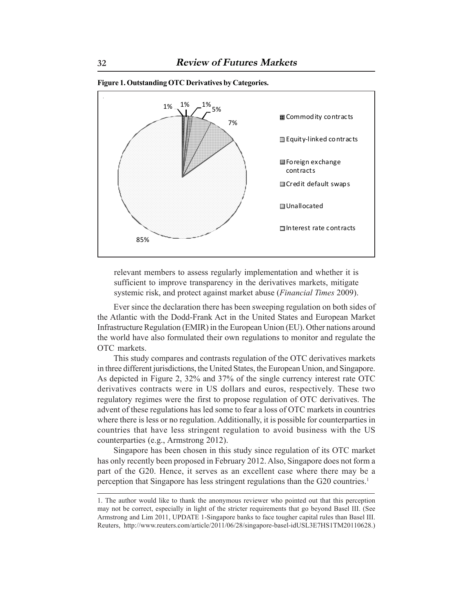

**Figure 1. Outstanding OTC Derivatives by Categories.**

relevant members to assess regularly implementation and whether it is sufficient to improve transparency in the derivatives markets, mitigate systemic risk, and protect against market abuse (*Financial Times* 2009).

Ever since the declaration there has been sweeping regulation on both sides of the Atlantic with the Dodd-Frank Act in the United States and European Market Infrastructure Regulation (EMIR) in the European Union (EU). Other nations around the world have also formulated their own regulations to monitor and regulate the OTC markets.

This study compares and contrasts regulation of the OTC derivatives markets in three different jurisdictions, the United States, the European Union, and Singapore. As depicted in Figure 2, 32% and 37% of the single currency interest rate OTC derivatives contracts were in US dollars and euros, respectively. These two regulatory regimes were the first to propose regulation of OTC derivatives. The advent of these regulations has led some to fear a loss of OTC markets in countries where there is less or no regulation. Additionally, it is possible for counterparties in countries that have less stringent regulation to avoid business with the US counterparties (e.g., Armstrong 2012).

Singapore has been chosen in this study since regulation of its OTC market has only recently been proposed in February 2012. Also, Singapore does not form a part of the G20. Hence, it serves as an excellent case where there may be a perception that Singapore has less stringent regulations than the G20 countries.1

<sup>1.</sup> The author would like to thank the anonymous reviewer who pointed out that this perception may not be correct, especially in light of the stricter requirements that go beyond Basel III. (See Armstrong and Lim 2011, UPDATE 1-Singapore banks to face tougher capital rules than Basel III. Reuters, http://www.reuters.com/article/2011/06/28/singapore-basel-idUSL3E7HS1TM20110628.)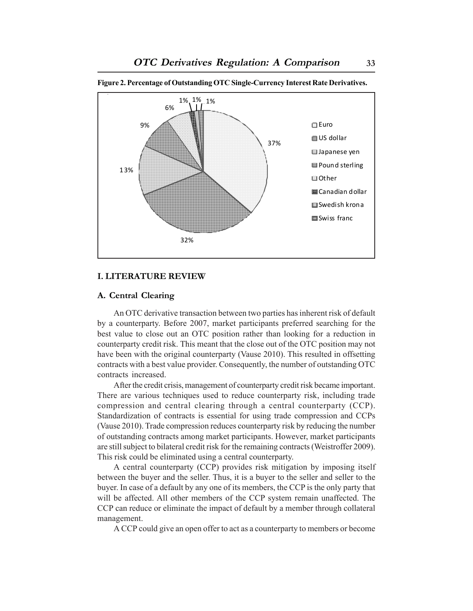

**Figure 2. Percentage of Outstanding OTC Single-Currency Interest Rate Derivatives.**

#### **I. LITERATURE REVIEW**

#### **A. Central Clearing**

An OTC derivative transaction between two parties has inherent risk of default by a counterparty. Before 2007, market participants preferred searching for the best value to close out an OTC position rather than looking for a reduction in counterparty credit risk. This meant that the close out of the OTC position may not have been with the original counterparty (Vause 2010). This resulted in offsetting contracts with a best value provider. Consequently, the number of outstanding OTC contracts increased.

After the credit crisis, management of counterparty credit risk became important. There are various techniques used to reduce counterparty risk, including trade compression and central clearing through a central counterparty (CCP). Standardization of contracts is essential for using trade compression and CCPs (Vause 2010). Trade compression reduces counterparty risk by reducing the number of outstanding contracts among market participants. However, market participants are still subject to bilateral credit risk for the remaining contracts (Weistroffer 2009). This risk could be eliminated using a central counterparty.

A central counterparty (CCP) provides risk mitigation by imposing itself between the buyer and the seller. Thus, it is a buyer to the seller and seller to the buyer. In case of a default by any one of its members, the CCP is the only party that will be affected. All other members of the CCP system remain unaffected. The CCP can reduce or eliminate the impact of default by a member through collateral management.

A CCP could give an open offer to act as a counterparty to members or become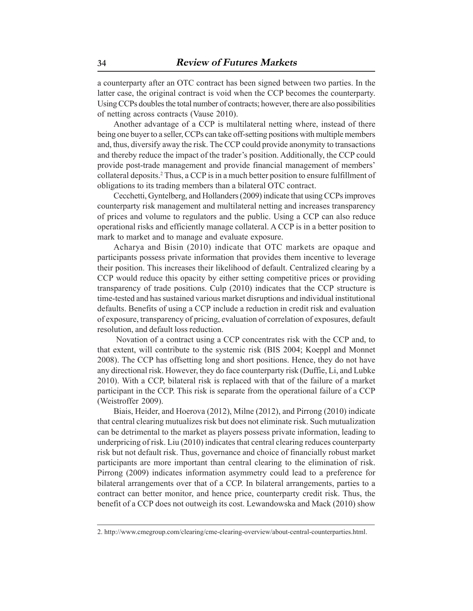a counterparty after an OTC contract has been signed between two parties. In the latter case, the original contract is void when the CCP becomes the counterparty. Using CCPs doubles the total number of contracts; however, there are also possibilities of netting across contracts (Vause 2010).

Another advantage of a CCP is multilateral netting where, instead of there being one buyer to a seller, CCPs can take off-setting positions with multiple members and, thus, diversify away the risk. The CCP could provide anonymity to transactions and thereby reduce the impact of the trader's position. Additionally, the CCP could provide post-trade management and provide financial management of members' collateral deposits.2 Thus, a CCP is in a much better position to ensure fulfillment of obligations to its trading members than a bilateral OTC contract.

Cecchetti, Gyntelberg, and Hollanders (2009) indicate that using CCPs improves counterparty risk management and multilateral netting and increases transparency of prices and volume to regulators and the public. Using a CCP can also reduce operational risks and efficiently manage collateral. A CCP is in a better position to mark to market and to manage and evaluate exposure.

Acharya and Bisin (2010) indicate that OTC markets are opaque and participants possess private information that provides them incentive to leverage their position. This increases their likelihood of default. Centralized clearing by a CCP would reduce this opacity by either setting competitive prices or providing transparency of trade positions. Culp (2010) indicates that the CCP structure is time-tested and has sustained various market disruptions and individual institutional defaults. Benefits of using a CCP include a reduction in credit risk and evaluation of exposure, transparency of pricing, evaluation of correlation of exposures, default resolution, and default loss reduction.

 Novation of a contract using a CCP concentrates risk with the CCP and, to that extent, will contribute to the systemic risk (BIS 2004; Koeppl and Monnet 2008). The CCP has offsetting long and short positions. Hence, they do not have any directional risk. However, they do face counterparty risk (Duffie, Li, and Lubke 2010). With a CCP, bilateral risk is replaced with that of the failure of a market participant in the CCP. This risk is separate from the operational failure of a CCP (Weistroffer 2009).

Biais, Heider, and Hoerova (2012), Milne (2012), and Pirrong (2010) indicate that central clearing mutualizes risk but does not eliminate risk. Such mutualization can be detrimental to the market as players possess private information, leading to underpricing of risk. Liu (2010) indicates that central clearing reduces counterparty risk but not default risk. Thus, governance and choice of financially robust market participants are more important than central clearing to the elimination of risk. Pirrong (2009) indicates information asymmetry could lead to a preference for bilateral arrangements over that of a CCP. In bilateral arrangements, parties to a contract can better monitor, and hence price, counterparty credit risk. Thus, the benefit of a CCP does not outweigh its cost. Lewandowska and Mack (2010) show

<sup>2.</sup> http://www.cmegroup.com/clearing/cme-clearing-overview/about-central-counterparties.html.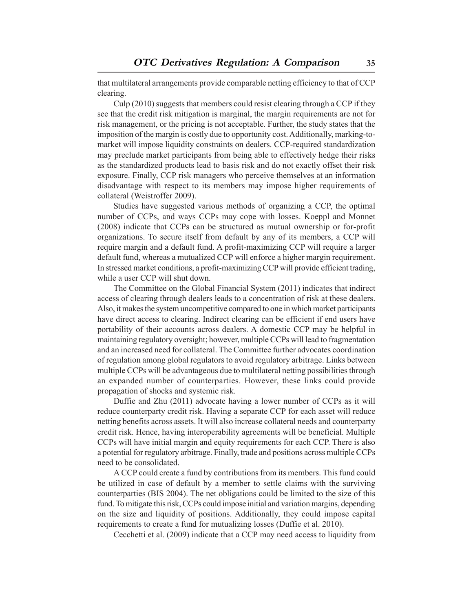that multilateral arrangements provide comparable netting efficiency to that of CCP clearing.

Culp (2010) suggests that members could resist clearing through a CCP if they see that the credit risk mitigation is marginal, the margin requirements are not for risk management, or the pricing is not acceptable. Further, the study states that the imposition of the margin is costly due to opportunity cost. Additionally, marking-tomarket will impose liquidity constraints on dealers. CCP-required standardization may preclude market participants from being able to effectively hedge their risks as the standardized products lead to basis risk and do not exactly offset their risk exposure. Finally, CCP risk managers who perceive themselves at an information disadvantage with respect to its members may impose higher requirements of collateral (Weistroffer 2009).

Studies have suggested various methods of organizing a CCP, the optimal number of CCPs, and ways CCPs may cope with losses. Koeppl and Monnet (2008) indicate that CCPs can be structured as mutual ownership or for-profit organizations. To secure itself from default by any of its members, a CCP will require margin and a default fund. A profit-maximizing CCP will require a larger default fund, whereas a mutualized CCP will enforce a higher margin requirement. In stressed market conditions, a profit-maximizing CCP will provide efficient trading, while a user CCP will shut down.

The Committee on the Global Financial System (2011) indicates that indirect access of clearing through dealers leads to a concentration of risk at these dealers. Also, it makes the system uncompetitive compared to one in which market participants have direct access to clearing. Indirect clearing can be efficient if end users have portability of their accounts across dealers. A domestic CCP may be helpful in maintaining regulatory oversight; however, multiple CCPs will lead to fragmentation and an increased need for collateral. The Committee further advocates coordination of regulation among global regulators to avoid regulatory arbitrage. Links between multiple CCPs will be advantageous due to multilateral netting possibilities through an expanded number of counterparties. However, these links could provide propagation of shocks and systemic risk.

Duffie and Zhu (2011) advocate having a lower number of CCPs as it will reduce counterparty credit risk. Having a separate CCP for each asset will reduce netting benefits across assets. It will also increase collateral needs and counterparty credit risk. Hence, having interoperability agreements will be beneficial. Multiple CCPs will have initial margin and equity requirements for each CCP. There is also a potential for regulatory arbitrage. Finally, trade and positions across multiple CCPs need to be consolidated.

A CCP could create a fund by contributions from its members. This fund could be utilized in case of default by a member to settle claims with the surviving counterparties (BIS 2004). The net obligations could be limited to the size of this fund. To mitigate this risk, CCPs could impose initial and variation margins, depending on the size and liquidity of positions. Additionally, they could impose capital requirements to create a fund for mutualizing losses (Duffie et al. 2010).

Cecchetti et al. (2009) indicate that a CCP may need access to liquidity from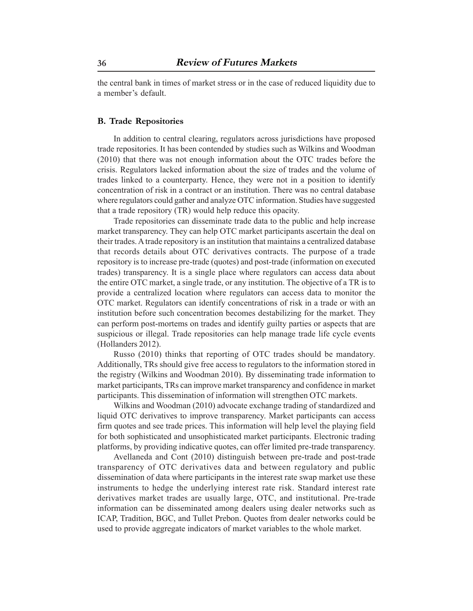the central bank in times of market stress or in the case of reduced liquidity due to a member's default.

#### **B. Trade Repositories**

In addition to central clearing, regulators across jurisdictions have proposed trade repositories. It has been contended by studies such as Wilkins and Woodman (2010) that there was not enough information about the OTC trades before the crisis. Regulators lacked information about the size of trades and the volume of trades linked to a counterparty. Hence, they were not in a position to identify concentration of risk in a contract or an institution. There was no central database where regulators could gather and analyze OTC information. Studies have suggested that a trade repository (TR) would help reduce this opacity.

Trade repositories can disseminate trade data to the public and help increase market transparency. They can help OTC market participants ascertain the deal on their trades. A trade repository is an institution that maintains a centralized database that records details about OTC derivatives contracts. The purpose of a trade repository is to increase pre-trade (quotes) and post-trade (information on executed trades) transparency. It is a single place where regulators can access data about the entire OTC market, a single trade, or any institution. The objective of a TR is to provide a centralized location where regulators can access data to monitor the OTC market. Regulators can identify concentrations of risk in a trade or with an institution before such concentration becomes destabilizing for the market. They can perform post-mortems on trades and identify guilty parties or aspects that are suspicious or illegal. Trade repositories can help manage trade life cycle events (Hollanders 2012).

Russo (2010) thinks that reporting of OTC trades should be mandatory. Additionally, TRs should give free access to regulators to the information stored in the registry (Wilkins and Woodman 2010). By disseminating trade information to market participants, TRs can improve market transparency and confidence in market participants. This dissemination of information will strengthen OTC markets.

Wilkins and Woodman (2010) advocate exchange trading of standardized and liquid OTC derivatives to improve transparency. Market participants can access firm quotes and see trade prices. This information will help level the playing field for both sophisticated and unsophisticated market participants. Electronic trading platforms, by providing indicative quotes, can offer limited pre-trade transparency.

Avellaneda and Cont (2010) distinguish between pre-trade and post-trade transparency of OTC derivatives data and between regulatory and public dissemination of data where participants in the interest rate swap market use these instruments to hedge the underlying interest rate risk. Standard interest rate derivatives market trades are usually large, OTC, and institutional. Pre-trade information can be disseminated among dealers using dealer networks such as ICAP, Tradition, BGC, and Tullet Prebon. Quotes from dealer networks could be used to provide aggregate indicators of market variables to the whole market.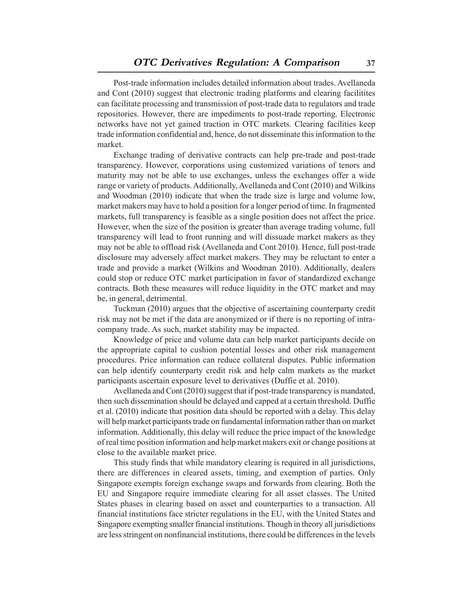Post-trade information includes detailed information about trades. Avellaneda and Cont (2010) suggest that electronic trading platforms and clearing facilitites can facilitate processing and transmission of post-trade data to regulators and trade repositories. However, there are impediments to post-trade reporting. Electronic networks have not yet gained traction in OTC markets. Clearing facilities keep trade information confidential and, hence, do not disseminate this information to the market.

Exchange trading of derivative contracts can help pre-trade and post-trade transparency. However, corporations using customized variations of tenors and maturity may not be able to use exchanges, unless the exchanges offer a wide range or variety of products. Additionally, Avellaneda and Cont (2010) and Wilkins and Woodman (2010) indicate that when the trade size is large and volume low, market makers may have to hold a position for a longer period of time. In fragmented markets, full transparency is feasible as a single position does not affect the price. However, when the size of the position is greater than average trading volume, full transparency will lead to front running and will dissuade market makers as they may not be able to offload risk (Avellaneda and Cont 2010). Hence, full post-trade disclosure may adversely affect market makers. They may be reluctant to enter a trade and provide a market (Wilkins and Woodman 2010). Additionally, dealers could stop or reduce OTC market participation in favor of standardized exchange contracts. Both these measures will reduce liquidity in the OTC market and may be, in general, detrimental.

Tuckman (2010) argues that the objective of ascertaining counterparty credit risk may not be met if the data are anonymized or if there is no reporting of intracompany trade. As such, market stability may be impacted.

Knowledge of price and volume data can help market participants decide on the appropriate capital to cushion potential losses and other risk management procedures. Price information can reduce collateral disputes. Public information can help identify counterparty credit risk and help calm markets as the market participants ascertain exposure level to derivatives (Duffie et al. 2010).

Avellaneda and Cont (2010) suggest that if post-trade transparency is mandated, then such dissemination should be delayed and capped at a certain threshold. Duffie et al. (2010) indicate that position data should be reported with a delay. This delay will help market participants trade on fundamental information rather than on market information. Additionally, this delay will reduce the price impact of the knowledge of real time position information and help market makers exit or change positions at close to the available market price.

This study finds that while mandatory clearing is required in all jurisdictions, there are differences in cleared assets, timing, and exemption of parties. Only Singapore exempts foreign exchange swaps and forwards from clearing. Both the EU and Singapore require immediate clearing for all asset classes. The United States phases in clearing based on asset and counterparties to a transaction. All financial institutions face stricter regulations in the EU, with the United States and Singapore exempting smaller financial institutions. Though in theory all jurisdictions are less stringent on nonfinancial institutions, there could be differences in the levels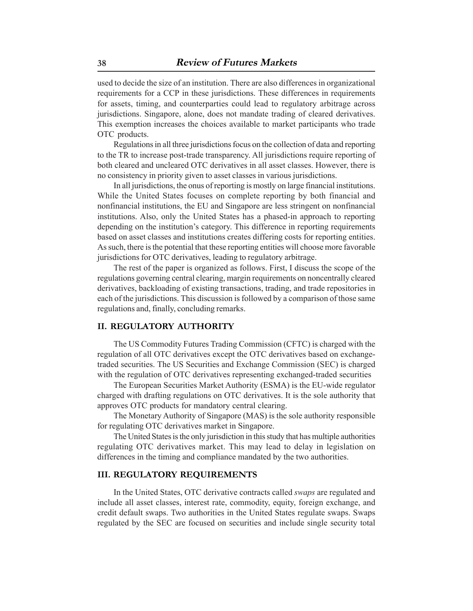used to decide the size of an institution. There are also differences in organizational requirements for a CCP in these jurisdictions. These differences in requirements for assets, timing, and counterparties could lead to regulatory arbitrage across jurisdictions. Singapore, alone, does not mandate trading of cleared derivatives. This exemption increases the choices available to market participants who trade OTC products.

Regulations in all three jurisdictions focus on the collection of data and reporting to the TR to increase post-trade transparency. All jurisdictions require reporting of both cleared and uncleared OTC derivatives in all asset classes. However, there is no consistency in priority given to asset classes in various jurisdictions.

In all jurisdictions, the onus of reporting is mostly on large financial institutions. While the United States focuses on complete reporting by both financial and nonfinancial institutions, the EU and Singapore are less stringent on nonfinancial institutions. Also, only the United States has a phased-in approach to reporting depending on the institution's category. This difference in reporting requirements based on asset classes and institutions creates differing costs for reporting entities. As such, there is the potential that these reporting entities will choose more favorable jurisdictions for OTC derivatives, leading to regulatory arbitrage.

The rest of the paper is organized as follows. First, I discuss the scope of the regulations governing central clearing, margin requirements on noncentrally cleared derivatives, backloading of existing transactions, trading, and trade repositories in each of the jurisdictions. This discussion is followed by a comparison of those same regulations and, finally, concluding remarks.

## **II. REGULATORY AUTHORITY**

The US Commodity Futures Trading Commission (CFTC) is charged with the regulation of all OTC derivatives except the OTC derivatives based on exchangetraded securities. The US Securities and Exchange Commission (SEC) is charged with the regulation of OTC derivatives representing exchanged-traded securities

The European Securities Market Authority (ESMA) is the EU-wide regulator charged with drafting regulations on OTC derivatives. It is the sole authority that approves OTC products for mandatory central clearing.

The Monetary Authority of Singapore (MAS) is the sole authority responsible for regulating OTC derivatives market in Singapore.

The United States is the only jurisdiction in this study that has multiple authorities regulating OTC derivatives market. This may lead to delay in legislation on differences in the timing and compliance mandated by the two authorities.

#### **III. REGULATORY REQUIREMENTS**

In the United States, OTC derivative contracts called *swaps* are regulated and include all asset classes, interest rate, commodity, equity, foreign exchange, and credit default swaps. Two authorities in the United States regulate swaps. Swaps regulated by the SEC are focused on securities and include single security total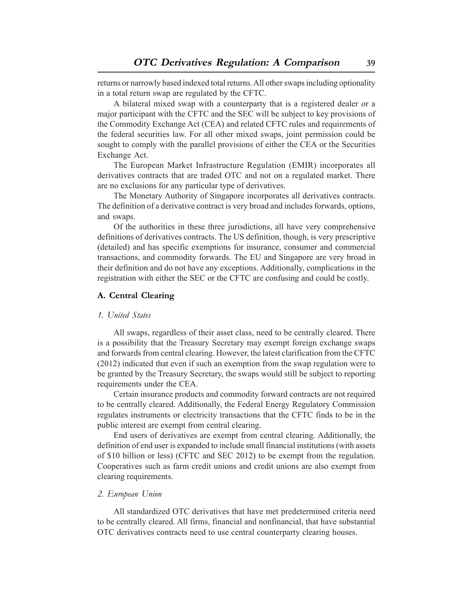returns or narrowly based indexed total returns. All other swaps including optionality in a total return swap are regulated by the CFTC.

A bilateral mixed swap with a counterparty that is a registered dealer or a major participant with the CFTC and the SEC will be subject to key provisions of the Commodity Exchange Act (CEA) and related CFTC rules and requirements of the federal securities law. For all other mixed swaps, joint permission could be sought to comply with the parallel provisions of either the CEA or the Securities Exchange Act.

The European Market Infrastructure Regulation (EMIR) incorporates all derivatives contracts that are traded OTC and not on a regulated market. There are no exclusions for any particular type of derivatives.

The Monetary Authority of Singapore incorporates all derivatives contracts. The definition of a derivative contract is very broad and includes forwards, options, and swaps.

Of the authorities in these three jurisdictions, all have very comprehensive definitions of derivatives contracts. The US definition, though, is very prescriptive (detailed) and has specific exemptions for insurance, consumer and commercial transactions, and commodity forwards. The EU and Singapore are very broad in their definition and do not have any exceptions. Additionally, complications in the registration with either the SEC or the CFTC are confusing and could be costly.

#### **A. Central Clearing**

#### *1. United States*

All swaps, regardless of their asset class, need to be centrally cleared. There is a possibility that the Treasury Secretary may exempt foreign exchange swaps and forwards from central clearing. However, the latest clarification from the CFTC (2012) indicated that even if such an exemption from the swap regulation were to be granted by the Treasury Secretary, the swaps would still be subject to reporting requirements under the CEA.

Certain insurance products and commodity forward contracts are not required to be centrally cleared. Additionally, the Federal Energy Regulatory Commission regulates instruments or electricity transactions that the CFTC finds to be in the public interest are exempt from central clearing.

End users of derivatives are exempt from central clearing. Additionally, the definition of end user is expanded to include small financial institutions (with assets of \$10 billion or less) (CFTC and SEC 2012) to be exempt from the regulation. Cooperatives such as farm credit unions and credit unions are also exempt from clearing requirements.

#### *2. European Union*

All standardized OTC derivatives that have met predetermined criteria need to be centrally cleared. All firms, financial and nonfinancial, that have substantial OTC derivatives contracts need to use central counterparty clearing houses.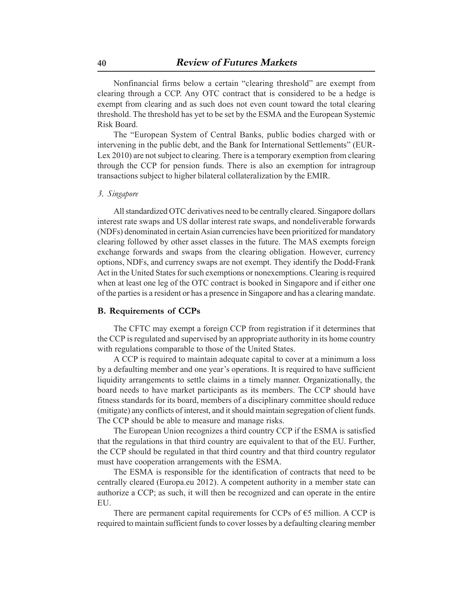Nonfinancial firms below a certain "clearing threshold" are exempt from clearing through a CCP. Any OTC contract that is considered to be a hedge is exempt from clearing and as such does not even count toward the total clearing threshold. The threshold has yet to be set by the ESMA and the European Systemic Risk Board.

The "European System of Central Banks, public bodies charged with or intervening in the public debt, and the Bank for International Settlements" (EUR-Lex 2010) are not subject to clearing. There is a temporary exemption from clearing through the CCP for pension funds. There is also an exemption for intragroup transactions subject to higher bilateral collateralization by the EMIR.

#### *3. Singapore*

All standardized OTC derivatives need to be centrally cleared. Singapore dollars interest rate swaps and US dollar interest rate swaps, and nondeliverable forwards (NDFs) denominated in certain Asian currencies have been prioritized for mandatory clearing followed by other asset classes in the future. The MAS exempts foreign exchange forwards and swaps from the clearing obligation. However, currency options, NDFs, and currency swaps are not exempt. They identify the Dodd-Frank Act in the United States for such exemptions or nonexemptions. Clearing is required when at least one leg of the OTC contract is booked in Singapore and if either one of the parties is a resident or has a presence in Singapore and has a clearing mandate.

#### **B. Requirements of CCPs**

The CFTC may exempt a foreign CCP from registration if it determines that the CCP is regulated and supervised by an appropriate authority in its home country with regulations comparable to those of the United States.

A CCP is required to maintain adequate capital to cover at a minimum a loss by a defaulting member and one year's operations. It is required to have sufficient liquidity arrangements to settle claims in a timely manner. Organizationally, the board needs to have market participants as its members. The CCP should have fitness standards for its board, members of a disciplinary committee should reduce (mitigate) any conflicts of interest, and it should maintain segregation of client funds. The CCP should be able to measure and manage risks.

The European Union recognizes a third country CCP if the ESMA is satisfied that the regulations in that third country are equivalent to that of the EU. Further, the CCP should be regulated in that third country and that third country regulator must have cooperation arrangements with the ESMA.

The ESMA is responsible for the identification of contracts that need to be centrally cleared (Europa.eu 2012). A competent authority in a member state can authorize a CCP; as such, it will then be recognized and can operate in the entire EU.

There are permanent capital requirements for CCPs of  $\epsilon$ 5 million. A CCP is required to maintain sufficient funds to cover losses by a defaulting clearing member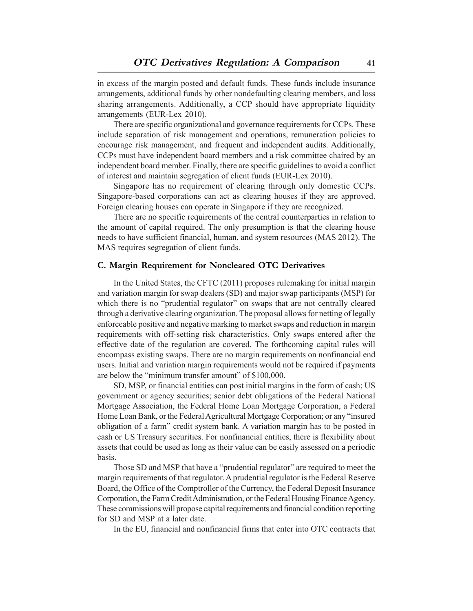in excess of the margin posted and default funds. These funds include insurance arrangements, additional funds by other nondefaulting clearing members, and loss sharing arrangements. Additionally, a CCP should have appropriate liquidity arrangements (EUR-Lex 2010).

There are specific organizational and governance requirements for CCPs. These include separation of risk management and operations, remuneration policies to encourage risk management, and frequent and independent audits. Additionally, CCPs must have independent board members and a risk committee chaired by an independent board member. Finally, there are specific guidelines to avoid a conflict of interest and maintain segregation of client funds (EUR-Lex 2010).

Singapore has no requirement of clearing through only domestic CCPs. Singapore-based corporations can act as clearing houses if they are approved. Foreign clearing houses can operate in Singapore if they are recognized.

There are no specific requirements of the central counterparties in relation to the amount of capital required. The only presumption is that the clearing house needs to have sufficient financial, human, and system resources (MAS 2012). The MAS requires segregation of client funds.

#### **C. Margin Requirement for Noncleared OTC Derivatives**

In the United States, the CFTC (2011) proposes rulemaking for initial margin and variation margin for swap dealers (SD) and major swap participants (MSP) for which there is no "prudential regulator" on swaps that are not centrally cleared through a derivative clearing organization. The proposal allows for netting of legally enforceable positive and negative marking to market swaps and reduction in margin requirements with off-setting risk characteristics. Only swaps entered after the effective date of the regulation are covered. The forthcoming capital rules will encompass existing swaps. There are no margin requirements on nonfinancial end users. Initial and variation margin requirements would not be required if payments are below the "minimum transfer amount" of \$100,000.

SD, MSP, or financial entities can post initial margins in the form of cash; US government or agency securities; senior debt obligations of the Federal National Mortgage Association, the Federal Home Loan Mortgage Corporation, a Federal Home Loan Bank, or the Federal Agricultural Mortgage Corporation; or any "insured obligation of a farm" credit system bank. A variation margin has to be posted in cash or US Treasury securities. For nonfinancial entities, there is flexibility about assets that could be used as long as their value can be easily assessed on a periodic basis.

Those SD and MSP that have a "prudential regulator" are required to meet the margin requirements of that regulator. A prudential regulator is the Federal Reserve Board, the Office of the Comptroller of the Currency, the Federal Deposit Insurance Corporation, the Farm Credit Administration, or the Federal Housing Finance Agency. These commissions will propose capital requirements and financial condition reporting for SD and MSP at a later date.

In the EU, financial and nonfinancial firms that enter into OTC contracts that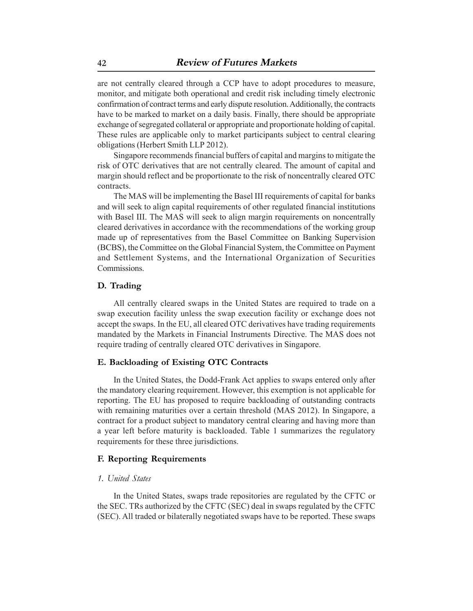are not centrally cleared through a CCP have to adopt procedures to measure, monitor, and mitigate both operational and credit risk including timely electronic confirmation of contract terms and early dispute resolution. Additionally, the contracts have to be marked to market on a daily basis. Finally, there should be appropriate exchange of segregated collateral or appropriate and proportionate holding of capital. These rules are applicable only to market participants subject to central clearing obligations (Herbert Smith LLP 2012).

Singapore recommends financial buffers of capital and margins to mitigate the risk of OTC derivatives that are not centrally cleared. The amount of capital and margin should reflect and be proportionate to the risk of noncentrally cleared OTC contracts.

The MAS will be implementing the Basel III requirements of capital for banks and will seek to align capital requirements of other regulated financial institutions with Basel III. The MAS will seek to align margin requirements on noncentrally cleared derivatives in accordance with the recommendations of the working group made up of representatives from the Basel Committee on Banking Supervision (BCBS), the Committee on the Global Financial System, the Committee on Payment and Settlement Systems, and the International Organization of Securities Commissions.

#### **D. Trading**

All centrally cleared swaps in the United States are required to trade on a swap execution facility unless the swap execution facility or exchange does not accept the swaps. In the EU, all cleared OTC derivatives have trading requirements mandated by the Markets in Financial Instruments Directive. The MAS does not require trading of centrally cleared OTC derivatives in Singapore.

#### **E. Backloading of Existing OTC Contracts**

In the United States, the Dodd-Frank Act applies to swaps entered only after the mandatory clearing requirement. However, this exemption is not applicable for reporting. The EU has proposed to require backloading of outstanding contracts with remaining maturities over a certain threshold (MAS 2012). In Singapore, a contract for a product subject to mandatory central clearing and having more than a year left before maturity is backloaded. Table 1 summarizes the regulatory requirements for these three jurisdictions.

#### **F. Reporting Requirements**

#### *1. United States*

In the United States, swaps trade repositories are regulated by the CFTC or the SEC. TRs authorized by the CFTC (SEC) deal in swaps regulated by the CFTC (SEC). All traded or bilaterally negotiated swaps have to be reported. These swaps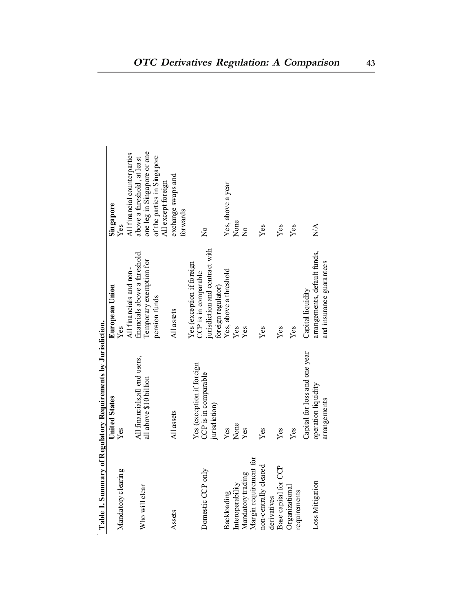|                                | where we can contribute the contribution of the contribution of the contribution of the contribution of the contribution of the contribution of the contribution of the contribution of the contribution of the contribution o |                                                          |                                                             |
|--------------------------------|--------------------------------------------------------------------------------------------------------------------------------------------------------------------------------------------------------------------------------|----------------------------------------------------------|-------------------------------------------------------------|
|                                | <b>United States</b>                                                                                                                                                                                                           | European Union                                           | Singapore                                                   |
| Mandatory clearing             | Yes                                                                                                                                                                                                                            | Yes                                                      | Yes                                                         |
|                                | All financials, all end users,                                                                                                                                                                                                 | financials above a threshold.<br>All financials and non- | All financial counterparties<br>above a threshold, at least |
| Who will clear                 | all above \$10 billion                                                                                                                                                                                                         | Temporary exemption for                                  | one leg in Singapore or one                                 |
|                                |                                                                                                                                                                                                                                | pension funds                                            | of the parties in Singapore<br>All except foreign           |
| Assets                         | All assets                                                                                                                                                                                                                     | All assets                                               | exchange swaps and<br>forwards                              |
| Domestic CCP only              | Yes (exception if foreign<br>CCP is in comparable                                                                                                                                                                              | Yes (exception if foreign<br>CCP is in comparable        | $\frac{1}{2}$                                               |
|                                | jurisdiction)                                                                                                                                                                                                                  | jurisdiction and contract with<br>foreign regulator)     |                                                             |
| Backloading                    | $Y$ es                                                                                                                                                                                                                         | Yes, above a threshold                                   | Yes, above a year                                           |
| Interoperability               | None                                                                                                                                                                                                                           | Yes                                                      | None                                                        |
| Mandatory trading              | Yes                                                                                                                                                                                                                            | Yes                                                      | $\frac{1}{2}$                                               |
| Margin requirement for         |                                                                                                                                                                                                                                |                                                          |                                                             |
| non-centrally cleared          | $Y$ es                                                                                                                                                                                                                         | Yes                                                      | Yes                                                         |
| derivatives                    |                                                                                                                                                                                                                                |                                                          |                                                             |
| Base capital for CCP           | $Y$ es                                                                                                                                                                                                                         | Yes                                                      | Yes                                                         |
| Organizational<br>requirements | $Y$ es                                                                                                                                                                                                                         | Yes                                                      | Yes                                                         |
|                                | Capital for loss and one year                                                                                                                                                                                                  | Capital liquidity                                        |                                                             |
| Loss Mitigation                | operation liquidity                                                                                                                                                                                                            | arrangements, default funds,                             | $\sum_{i=1}^{n}$                                            |
|                                | arrangements                                                                                                                                                                                                                   | and insurance guarantees                                 |                                                             |

**Table 1. Summary of Regulatory Requirements by Jurisdiction.**  Table 1. Summary of Regulatory Requirements by Jurisdiction.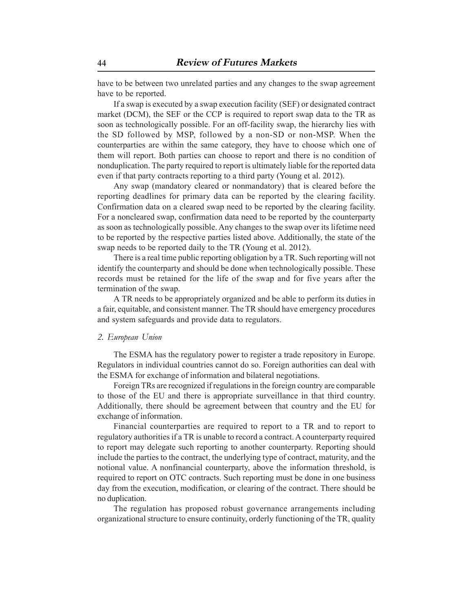have to be between two unrelated parties and any changes to the swap agreement have to be reported.

If a swap is executed by a swap execution facility (SEF) or designated contract market (DCM), the SEF or the CCP is required to report swap data to the TR as soon as technologically possible. For an off-facility swap, the hierarchy lies with the SD followed by MSP, followed by a non-SD or non-MSP. When the counterparties are within the same category, they have to choose which one of them will report. Both parties can choose to report and there is no condition of nonduplication. The party required to report is ultimately liable for the reported data even if that party contracts reporting to a third party (Young et al. 2012).

Any swap (mandatory cleared or nonmandatory) that is cleared before the reporting deadlines for primary data can be reported by the clearing facility. Confirmation data on a cleared swap need to be reported by the clearing facility. For a noncleared swap, confirmation data need to be reported by the counterparty as soon as technologically possible. Any changes to the swap over its lifetime need to be reported by the respective parties listed above. Additionally, the state of the swap needs to be reported daily to the TR (Young et al. 2012).

There is a real time public reporting obligation by a TR. Such reporting will not identify the counterparty and should be done when technologically possible. These records must be retained for the life of the swap and for five years after the termination of the swap.

A TR needs to be appropriately organized and be able to perform its duties in a fair, equitable, and consistent manner. The TR should have emergency procedures and system safeguards and provide data to regulators.

#### *2. European Union*

The ESMA has the regulatory power to register a trade repository in Europe. Regulators in individual countries cannot do so. Foreign authorities can deal with the ESMA for exchange of information and bilateral negotiations.

Foreign TRs are recognized if regulations in the foreign country are comparable to those of the EU and there is appropriate surveillance in that third country. Additionally, there should be agreement between that country and the EU for exchange of information.

Financial counterparties are required to report to a TR and to report to regulatory authorities if a TR is unable to record a contract. A counterparty required to report may delegate such reporting to another counterparty. Reporting should include the parties to the contract, the underlying type of contract, maturity, and the notional value. A nonfinancial counterparty, above the information threshold, is required to report on OTC contracts. Such reporting must be done in one business day from the execution, modification, or clearing of the contract. There should be no duplication.

The regulation has proposed robust governance arrangements including organizational structure to ensure continuity, orderly functioning of the TR, quality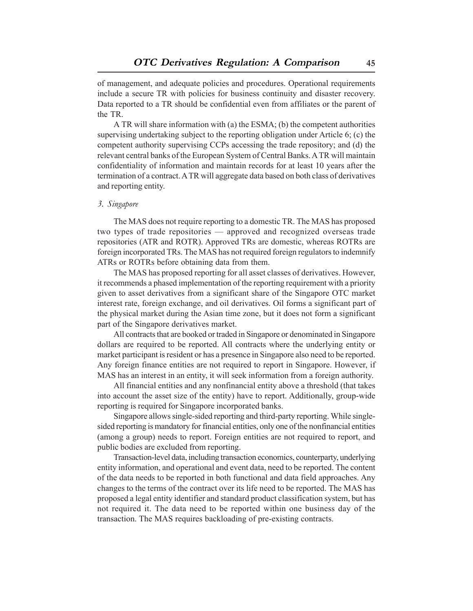of management, and adequate policies and procedures. Operational requirements include a secure TR with policies for business continuity and disaster recovery. Data reported to a TR should be confidential even from affiliates or the parent of the TR.

A TR will share information with (a) the ESMA; (b) the competent authorities supervising undertaking subject to the reporting obligation under Article 6; (c) the competent authority supervising CCPs accessing the trade repository; and (d) the relevant central banks of the European System of Central Banks. A TR will maintain confidentiality of information and maintain records for at least 10 years after the termination of a contract. A TR will aggregate data based on both class of derivatives and reporting entity.

#### *3. Singapore*

The MAS does not require reporting to a domestic TR. The MAS has proposed two types of trade repositories — approved and recognized overseas trade repositories (ATR and ROTR). Approved TRs are domestic, whereas ROTRs are foreign incorporated TRs. The MAS has not required foreign regulators to indemnify ATRs or ROTRs before obtaining data from them.

The MAS has proposed reporting for all asset classes of derivatives. However, it recommends a phased implementation of the reporting requirement with a priority given to asset derivatives from a significant share of the Singapore OTC market interest rate, foreign exchange, and oil derivatives. Oil forms a significant part of the physical market during the Asian time zone, but it does not form a significant part of the Singapore derivatives market.

All contracts that are booked or traded in Singapore or denominated in Singapore dollars are required to be reported. All contracts where the underlying entity or market participant is resident or has a presence in Singapore also need to be reported. Any foreign finance entities are not required to report in Singapore. However, if MAS has an interest in an entity, it will seek information from a foreign authority.

All financial entities and any nonfinancial entity above a threshold (that takes into account the asset size of the entity) have to report. Additionally, group-wide reporting is required for Singapore incorporated banks.

Singapore allows single-sided reporting and third-party reporting. While singlesided reporting is mandatory for financial entities, only one of the nonfinancial entities (among a group) needs to report. Foreign entities are not required to report, and public bodies are excluded from reporting.

Transaction-level data, including transaction economics, counterparty, underlying entity information, and operational and event data, need to be reported. The content of the data needs to be reported in both functional and data field approaches. Any changes to the terms of the contract over its life need to be reported. The MAS has proposed a legal entity identifier and standard product classification system, but has not required it. The data need to be reported within one business day of the transaction. The MAS requires backloading of pre-existing contracts.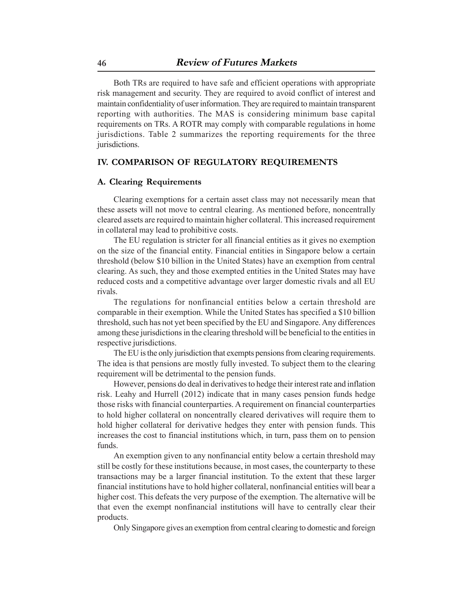Both TRs are required to have safe and efficient operations with appropriate risk management and security. They are required to avoid conflict of interest and maintain confidentiality of user information. They are required to maintain transparent reporting with authorities. The MAS is considering minimum base capital requirements on TRs. A ROTR may comply with comparable regulations in home jurisdictions. Table 2 summarizes the reporting requirements for the three jurisdictions.

## **IV. COMPARISON OF REGULATORY REQUIREMENTS**

#### **A. Clearing Requirements**

Clearing exemptions for a certain asset class may not necessarily mean that these assets will not move to central clearing. As mentioned before, noncentrally cleared assets are required to maintain higher collateral. This increased requirement in collateral may lead to prohibitive costs.

The EU regulation is stricter for all financial entities as it gives no exemption on the size of the financial entity. Financial entities in Singapore below a certain threshold (below \$10 billion in the United States) have an exemption from central clearing. As such, they and those exempted entities in the United States may have reduced costs and a competitive advantage over larger domestic rivals and all EU rivals.

The regulations for nonfinancial entities below a certain threshold are comparable in their exemption. While the United States has specified a \$10 billion threshold, such has not yet been specified by the EU and Singapore. Any differences among these jurisdictions in the clearing threshold will be beneficial to the entities in respective jurisdictions.

The EU is the only jurisdiction that exempts pensions from clearing requirements. The idea is that pensions are mostly fully invested. To subject them to the clearing requirement will be detrimental to the pension funds.

However, pensions do deal in derivatives to hedge their interest rate and inflation risk. Leahy and Hurrell (2012) indicate that in many cases pension funds hedge those risks with financial counterparties. A requirement on financial counterparties to hold higher collateral on noncentrally cleared derivatives will require them to hold higher collateral for derivative hedges they enter with pension funds. This increases the cost to financial institutions which, in turn, pass them on to pension funds.

An exemption given to any nonfinancial entity below a certain threshold may still be costly for these institutions because, in most cases, the counterparty to these transactions may be a larger financial institution. To the extent that these larger financial institutions have to hold higher collateral, nonfinancial entities will bear a higher cost. This defeats the very purpose of the exemption. The alternative will be that even the exempt nonfinancial institutions will have to centrally clear their products.

Only Singapore gives an exemption from central clearing to domestic and foreign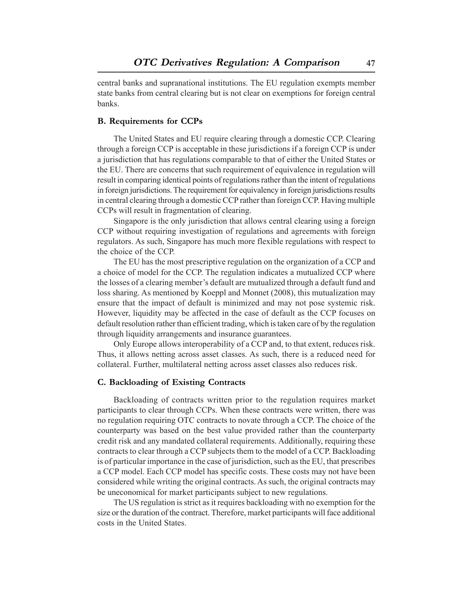central banks and supranational institutions. The EU regulation exempts member state banks from central clearing but is not clear on exemptions for foreign central banks.

#### **B. Requirements for CCPs**

The United States and EU require clearing through a domestic CCP. Clearing through a foreign CCP is acceptable in these jurisdictions if a foreign CCP is under a jurisdiction that has regulations comparable to that of either the United States or the EU. There are concerns that such requirement of equivalence in regulation will result in comparing identical points of regulations rather than the intent of regulations in foreign jurisdictions. The requirement for equivalency in foreign jurisdictions results in central clearing through a domestic CCP rather than foreign CCP. Having multiple CCPs will result in fragmentation of clearing.

Singapore is the only jurisdiction that allows central clearing using a foreign CCP without requiring investigation of regulations and agreements with foreign regulators. As such, Singapore has much more flexible regulations with respect to the choice of the CCP.

The EU has the most prescriptive regulation on the organization of a CCP and a choice of model for the CCP. The regulation indicates a mutualized CCP where the losses of a clearing member's default are mutualized through a default fund and loss sharing. As mentioned by Koeppl and Monnet (2008), this mutualization may ensure that the impact of default is minimized and may not pose systemic risk. However, liquidity may be affected in the case of default as the CCP focuses on default resolution rather than efficient trading, which is taken care of by the regulation through liquidity arrangements and insurance guarantees.

Only Europe allows interoperability of a CCP and, to that extent, reduces risk. Thus, it allows netting across asset classes. As such, there is a reduced need for collateral. Further, multilateral netting across asset classes also reduces risk.

#### **C. Backloading of Existing Contracts**

Backloading of contracts written prior to the regulation requires market participants to clear through CCPs. When these contracts were written, there was no regulation requiring OTC contracts to novate through a CCP. The choice of the counterparty was based on the best value provided rather than the counterparty credit risk and any mandated collateral requirements. Additionally, requiring these contracts to clear through a CCP subjects them to the model of a CCP. Backloading is of particular importance in the case of jurisdiction, such as the EU, that prescribes a CCP model. Each CCP model has specific costs. These costs may not have been considered while writing the original contracts. As such, the original contracts may be uneconomical for market participants subject to new regulations.

The US regulation is strict as it requires backloading with no exemption for the size or the duration of the contract. Therefore, market participants will face additional costs in the United States.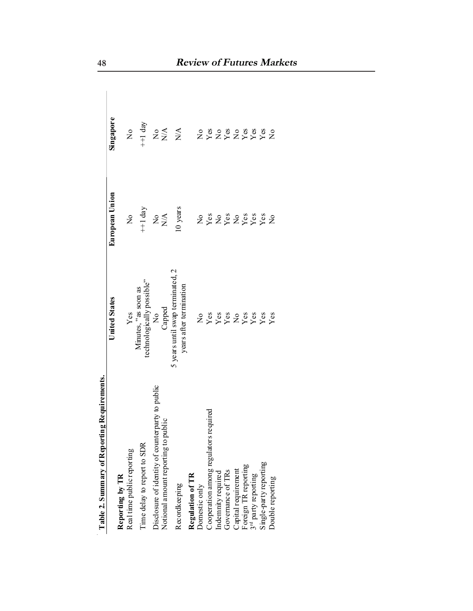|                                                                                         | <b>United States</b>                                        | European Union      | Singapore                                                                                   |
|-----------------------------------------------------------------------------------------|-------------------------------------------------------------|---------------------|---------------------------------------------------------------------------------------------|
| Reporting by TR                                                                         |                                                             |                     |                                                                                             |
| Real time public reporting                                                              |                                                             | $\mathsf{S}$        | $\rm \stackrel{\circ}{\mathbf{Z}}$                                                          |
| Time delay to report to SDR                                                             | Yes<br>Minutes, "as soon as<br>technologically possible"    | $+1$ day            | $+1$ day                                                                                    |
| Disclosure of identity of counterparty to public<br>Notional amount reporting to public |                                                             | $Z_{\rm Z}^{\rm X}$ |                                                                                             |
|                                                                                         | No<br>Capped                                                |                     |                                                                                             |
| Recordkeeping                                                                           | 5 years until swap terminated, 2<br>years after termination | 10 years            | $\stackrel{\mathtt{o}}{\mathsf{z}}\stackrel{\prec}{\mathsf{z}}\stackrel{\prec}{\mathsf{z}}$ |
| Regulation of TR                                                                        |                                                             |                     |                                                                                             |
| Domestic only                                                                           |                                                             |                     |                                                                                             |
| Cooperation among regulators required                                                   |                                                             |                     |                                                                                             |
| Indemnity required                                                                      |                                                             |                     |                                                                                             |
| Governance of TRs                                                                       |                                                             |                     |                                                                                             |
| Capital requirement                                                                     |                                                             |                     |                                                                                             |
| Foreign TR reporting                                                                    |                                                             |                     |                                                                                             |
|                                                                                         |                                                             |                     |                                                                                             |
| 3 <sup>rd</sup> party reporting<br>Single-party reporting                               | Ness vesses<br>Vessues vesses                               | <b>ASSESSES</b>     | 282828882<br>28282888                                                                       |
| Double reporting                                                                        |                                                             |                     |                                                                                             |

Table 2. Summary of Reporting Requirements.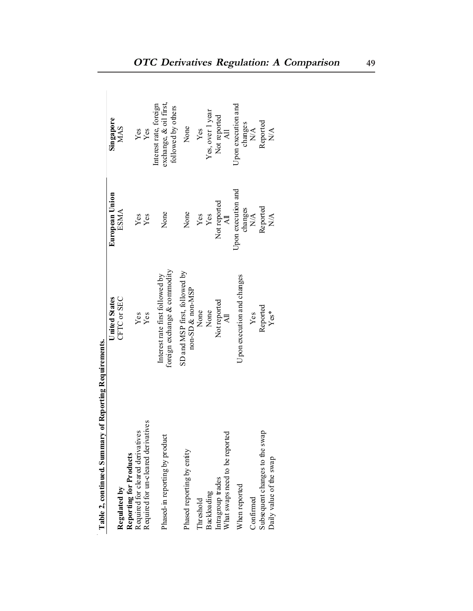| CFTC or SEC<br><b>United States</b><br>Yes<br>Yes<br>Required for un-cleared derivatives<br>Required for cleared derivatives<br>Reporting for Products<br>Regulated by | European Union<br><b>ESMA</b><br>None<br>None<br>Yes<br>Yes | Interest rate, foreign<br>exchange, & oil first,<br>followed by others<br>Singapore<br>MAS<br>Yes<br>Yes |
|------------------------------------------------------------------------------------------------------------------------------------------------------------------------|-------------------------------------------------------------|----------------------------------------------------------------------------------------------------------|
|                                                                                                                                                                        |                                                             |                                                                                                          |
|                                                                                                                                                                        |                                                             |                                                                                                          |
|                                                                                                                                                                        |                                                             |                                                                                                          |
|                                                                                                                                                                        |                                                             |                                                                                                          |
|                                                                                                                                                                        |                                                             |                                                                                                          |
| foreign exchange & commodity<br>Interest rate first followed by<br>Phased-in reporting by product                                                                      |                                                             |                                                                                                          |
| SD and MSP first, followed by<br>non-SD & non-MSP<br>None<br>Phased reporting by entity                                                                                |                                                             | None                                                                                                     |
| Threshold                                                                                                                                                              |                                                             | Yes                                                                                                      |
| None<br>Backloading                                                                                                                                                    | $\frac{Yes}{Yes}$                                           | Yes, over 1 year                                                                                         |
| Not reported<br>$\overline{A}$<br>What swaps need to be reporte<br>Intragroup trades                                                                                   | Not reported<br>All                                         | Not reported<br>All                                                                                      |
| J pon execution and changes<br>Whenreported                                                                                                                            | Jpon execution and                                          | J pon execution and                                                                                      |
| Yes<br>Confirmed                                                                                                                                                       | changes<br>$N/A$                                            | changes<br>$N/A$                                                                                         |
| Reported<br>Subsequent changes to the swap                                                                                                                             | Reported                                                    | Reported                                                                                                 |
| $Yes*$<br>Daily value of the swap                                                                                                                                      | $\frac{\mathbf{A}}{\mathbf{A}}$                             | N/A                                                                                                      |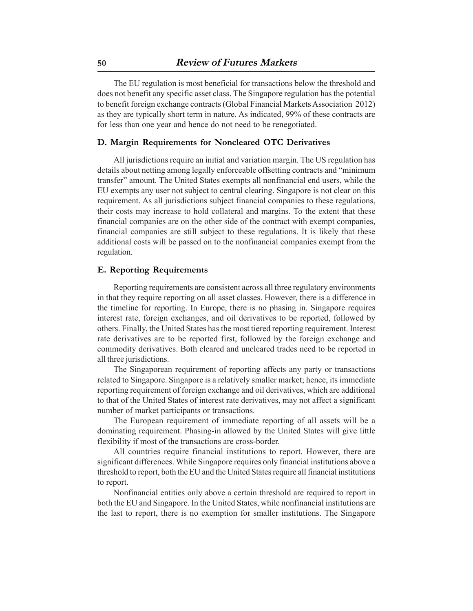The EU regulation is most beneficial for transactions below the threshold and does not benefit any specific asset class. The Singapore regulation has the potential to benefit foreign exchange contracts (Global Financial Markets Association 2012) as they are typically short term in nature. As indicated, 99% of these contracts are for less than one year and hence do not need to be renegotiated.

#### **D. Margin Requirements for Noncleared OTC Derivatives**

All jurisdictions require an initial and variation margin. The US regulation has details about netting among legally enforceable offsetting contracts and "minimum transfer" amount. The United States exempts all nonfinancial end users, while the EU exempts any user not subject to central clearing. Singapore is not clear on this requirement. As all jurisdictions subject financial companies to these regulations, their costs may increase to hold collateral and margins. To the extent that these financial companies are on the other side of the contract with exempt companies, financial companies are still subject to these regulations. It is likely that these additional costs will be passed on to the nonfinancial companies exempt from the regulation.

#### **E. Reporting Requirements**

Reporting requirements are consistent across all three regulatory environments in that they require reporting on all asset classes. However, there is a difference in the timeline for reporting. In Europe, there is no phasing in. Singapore requires interest rate, foreign exchanges, and oil derivatives to be reported, followed by others. Finally, the United States has the most tiered reporting requirement. Interest rate derivatives are to be reported first, followed by the foreign exchange and commodity derivatives. Both cleared and uncleared trades need to be reported in all three jurisdictions.

The Singaporean requirement of reporting affects any party or transactions related to Singapore. Singapore is a relatively smaller market; hence, its immediate reporting requirement of foreign exchange and oil derivatives, which are additional to that of the United States of interest rate derivatives, may not affect a significant number of market participants or transactions.

The European requirement of immediate reporting of all assets will be a dominating requirement. Phasing-in allowed by the United States will give little flexibility if most of the transactions are cross-border.

All countries require financial institutions to report. However, there are significant differences. While Singapore requires only financial institutions above a threshold to report, both the EU and the United States require all financial institutions to report.

Nonfinancial entities only above a certain threshold are required to report in both the EU and Singapore. In the United States, while nonfinancial institutions are the last to report, there is no exemption for smaller institutions. The Singapore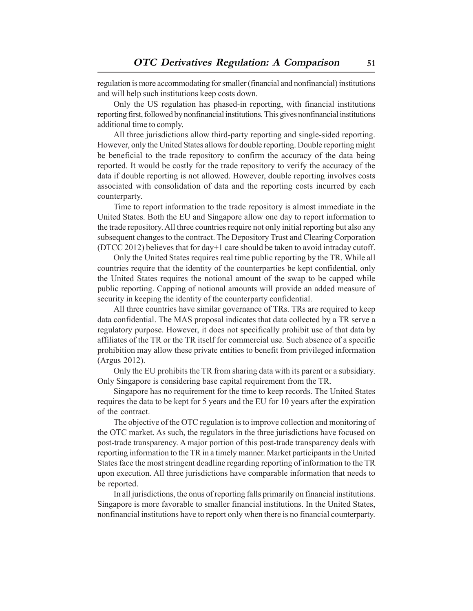regulation is more accommodating for smaller (financial and nonfinancial) institutions and will help such institutions keep costs down.

Only the US regulation has phased-in reporting, with financial institutions reporting first, followed by nonfinancial institutions. This gives nonfinancial institutions additional time to comply.

All three jurisdictions allow third-party reporting and single-sided reporting. However, only the United States allows for double reporting. Double reporting might be beneficial to the trade repository to confirm the accuracy of the data being reported. It would be costly for the trade repository to verify the accuracy of the data if double reporting is not allowed. However, double reporting involves costs associated with consolidation of data and the reporting costs incurred by each counterparty.

Time to report information to the trade repository is almost immediate in the United States. Both the EU and Singapore allow one day to report information to the trade repository. All three countries require not only initial reporting but also any subsequent changes to the contract. The Depository Trust and Clearing Corporation (DTCC 2012) believes that for day+1 care should be taken to avoid intraday cutoff.

Only the United States requires real time public reporting by the TR. While all countries require that the identity of the counterparties be kept confidential, only the United States requires the notional amount of the swap to be capped while public reporting. Capping of notional amounts will provide an added measure of security in keeping the identity of the counterparty confidential.

All three countries have similar governance of TRs. TRs are required to keep data confidential. The MAS proposal indicates that data collected by a TR serve a regulatory purpose. However, it does not specifically prohibit use of that data by affiliates of the TR or the TR itself for commercial use. Such absence of a specific prohibition may allow these private entities to benefit from privileged information (Argus 2012).

Only the EU prohibits the TR from sharing data with its parent or a subsidiary. Only Singapore is considering base capital requirement from the TR.

Singapore has no requirement for the time to keep records. The United States requires the data to be kept for 5 years and the EU for 10 years after the expiration of the contract.

The objective of the OTC regulation is to improve collection and monitoring of the OTC market. As such, the regulators in the three jurisdictions have focused on post-trade transparency. A major portion of this post-trade transparency deals with reporting information to the TR in a timely manner. Market participants in the United States face the most stringent deadline regarding reporting of information to the TR upon execution. All three jurisdictions have comparable information that needs to be reported.

In all jurisdictions, the onus of reporting falls primarily on financial institutions. Singapore is more favorable to smaller financial institutions. In the United States, nonfinancial institutions have to report only when there is no financial counterparty.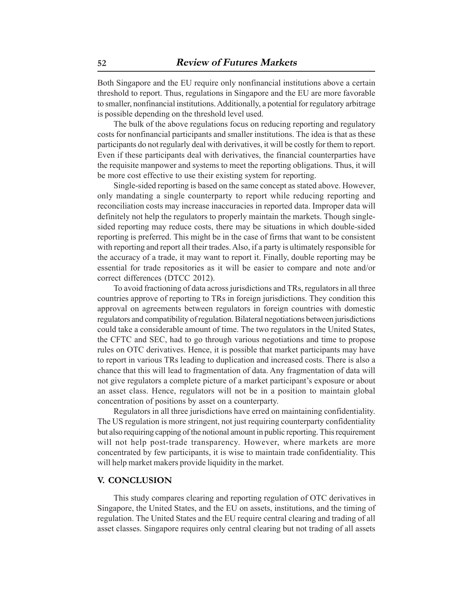Both Singapore and the EU require only nonfinancial institutions above a certain threshold to report. Thus, regulations in Singapore and the EU are more favorable to smaller, nonfinancial institutions. Additionally, a potential for regulatory arbitrage is possible depending on the threshold level used.

The bulk of the above regulations focus on reducing reporting and regulatory costs for nonfinancial participants and smaller institutions. The idea is that as these participants do not regularly deal with derivatives, it will be costly for them to report. Even if these participants deal with derivatives, the financial counterparties have the requisite manpower and systems to meet the reporting obligations. Thus, it will be more cost effective to use their existing system for reporting.

Single-sided reporting is based on the same concept as stated above. However, only mandating a single counterparty to report while reducing reporting and reconciliation costs may increase inaccuracies in reported data. Improper data will definitely not help the regulators to properly maintain the markets. Though singlesided reporting may reduce costs, there may be situations in which double-sided reporting is preferred. This might be in the case of firms that want to be consistent with reporting and report all their trades. Also, if a party is ultimately responsible for the accuracy of a trade, it may want to report it. Finally, double reporting may be essential for trade repositories as it will be easier to compare and note and/or correct differences (DTCC 2012).

To avoid fractioning of data across jurisdictions and TRs, regulators in all three countries approve of reporting to TRs in foreign jurisdictions. They condition this approval on agreements between regulators in foreign countries with domestic regulators and compatibility of regulation. Bilateral negotiations between jurisdictions could take a considerable amount of time. The two regulators in the United States, the CFTC and SEC, had to go through various negotiations and time to propose rules on OTC derivatives. Hence, it is possible that market participants may have to report in various TRs leading to duplication and increased costs. There is also a chance that this will lead to fragmentation of data. Any fragmentation of data will not give regulators a complete picture of a market participant's exposure or about an asset class. Hence, regulators will not be in a position to maintain global concentration of positions by asset on a counterparty.

Regulators in all three jurisdictions have erred on maintaining confidentiality. The US regulation is more stringent, not just requiring counterparty confidentiality but also requiring capping of the notional amount in public reporting. This requirement will not help post-trade transparency. However, where markets are more concentrated by few participants, it is wise to maintain trade confidentiality. This will help market makers provide liquidity in the market.

#### **V. CONCLUSION**

This study compares clearing and reporting regulation of OTC derivatives in Singapore, the United States, and the EU on assets, institutions, and the timing of regulation. The United States and the EU require central clearing and trading of all asset classes. Singapore requires only central clearing but not trading of all assets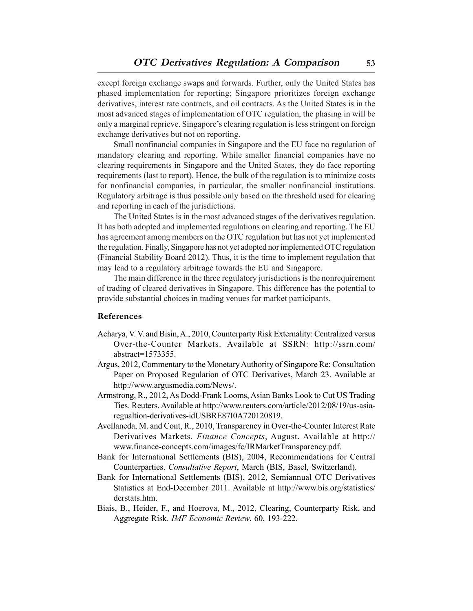except foreign exchange swaps and forwards. Further, only the United States has phased implementation for reporting; Singapore prioritizes foreign exchange derivatives, interest rate contracts, and oil contracts. As the United States is in the most advanced stages of implementation of OTC regulation, the phasing in will be only a marginal reprieve. Singapore's clearing regulation is less stringent on foreign exchange derivatives but not on reporting.

Small nonfinancial companies in Singapore and the EU face no regulation of mandatory clearing and reporting. While smaller financial companies have no clearing requirements in Singapore and the United States, they do face reporting requirements (last to report). Hence, the bulk of the regulation is to minimize costs for nonfinancial companies, in particular, the smaller nonfinancial institutions. Regulatory arbitrage is thus possible only based on the threshold used for clearing and reporting in each of the jurisdictions.

The United States is in the most advanced stages of the derivatives regulation. It has both adopted and implemented regulations on clearing and reporting. The EU has agreement among members on the OTC regulation but has not yet implemented the regulation. Finally, Singapore has not yet adopted nor implemented OTC regulation (Financial Stability Board 2012). Thus, it is the time to implement regulation that may lead to a regulatory arbitrage towards the EU and Singapore.

The main difference in the three regulatory jurisdictions is the nonrequirement of trading of cleared derivatives in Singapore. This difference has the potential to provide substantial choices in trading venues for market participants.

#### **References**

- Acharya, V. V. and Bisin, A., 2010, Counterparty Risk Externality: Centralized versus Over-the-Counter Markets. Available at SSRN: http://ssrn.com/ abstract=1573355.
- Argus, 2012, Commentary to the Monetary Authority of Singapore Re: Consultation Paper on Proposed Regulation of OTC Derivatives, March 23. Available at http://www.argusmedia.com/News/.
- Armstrong, R., 2012, As Dodd-Frank Looms, Asian Banks Look to Cut US Trading Ties. Reuters. Available at http://www.reuters.com/article/2012/08/19/us-asiaregualtion-derivatives-idUSBRE87I0A720120819.
- Avellaneda, M. and Cont, R., 2010, Transparency in Over-the-Counter Interest Rate Derivatives Markets. *Finance Concepts*, August. Available at http:// www.finance-concepts.com/images/fc/IRMarketTransparency.pdf.
- Bank for International Settlements (BIS), 2004, Recommendations for Central Counterparties. *Consultative Report*, March (BIS, Basel, Switzerland).
- Bank for International Settlements (BIS), 2012, Semiannual OTC Derivatives Statistics at End-December 2011. Available at http://www.bis.org/statistics/ derstats.htm.
- Biais, B., Heider, F., and Hoerova, M., 2012, Clearing, Counterparty Risk, and Aggregate Risk. *IMF Economic Review*, 60, 193-222.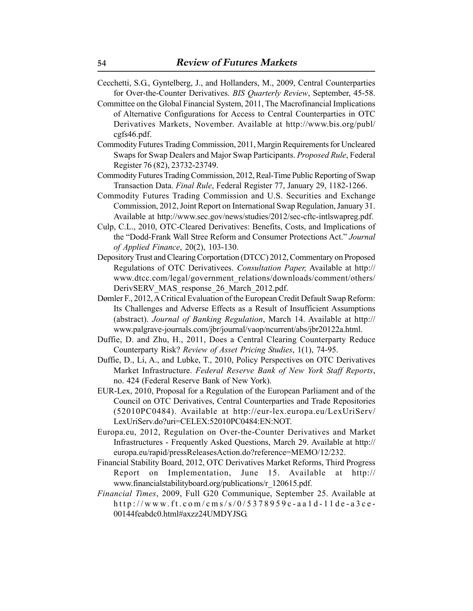- Cecchetti, S.G., Gyntelberg, J., and Hollanders, M., 2009, Central Counterparties for Over-the-Counter Derivatives. *BIS Quarterly Review*, September, 45-58.
- Committee on the Global Financial System, 2011, The Macrofinancial Implications of Alternative Configurations for Access to Central Counterparties in OTC Derivatives Markets, November. Available at http://www.bis.org/publ/ cgfs46.pdf.
- Commodity Futures Trading Commission, 2011, Margin Requirements for Uncleared Swaps for Swap Dealers and Major Swap Participants. *Proposed Rule*, Federal Register 76 (82), 23732-23749.
- Commodity Futures Trading Commission, 2012, Real-Time Public Reporting of Swap Transaction Data. *Final Rule*, Federal Register 77, January 29, 1182-1266.
- Commodity Futures Trading Commission and U.S. Securities and Exchange Commission, 2012, Joint Report on International Swap Regulation, January 31. Available at http://www.sec.gov/news/studies/2012/sec-cftc-intlswapreg.pdf.
- Culp, C.L., 2010, OTC-Cleared Derivatives: Benefits, Costs, and Implications of the "Dodd-Frank Wall Stree Reform and Consumer Protections Act." *Journal of Applied Finance*, 20(2), 103-130.
- Depository Trust and Clearing Corportation (DTCC) 2012, Commentary on Proposed Regulations of OTC Derivativees. *Consultation Paper,* Available at http:// www.dtcc.com/legal/government\_relations/downloads/comment/others/ DerivSERV MAS response 26 March 2012.pdf.
- Dømler F., 2012, A Critical Evaluation of the European Credit Default Swap Reform: Its Challenges and Adverse Effects as a Result of Insufficient Assumptions (abstract). *Journal of Banking Regulation*, March 14. Available at http:// www.palgrave-journals.com/jbr/journal/vaop/ncurrent/abs/jbr20122a.html.
- Duffie, D. and Zhu, H., 2011, Does a Central Clearing Counterparty Reduce Counterparty Risk? *Review of Asset Pricing Studies*, 1(1), 74-95.
- Duffie, D., Li, A., and Lubke, T., 2010, Policy Perspectives on OTC Derivatives Market Infrastructure. *Federal Reserve Bank of New York Staff Reports*, no. 424 (Federal Reserve Bank of New York).
- EUR-Lex, 2010, Proposal for a Regulation of the European Parliament and of the Council on OTC Derivatives, Central Counterparties and Trade Repositories (52010PC0484). Available at http://eur-lex.europa.eu/LexUriServ/ LexUriServ.do?uri=CELEX:52010PC0484:EN:NOT.
- Europa.eu, 2012, Regulation on Over-the-Counter Derivatives and Market Infrastructures - Frequently Asked Questions, March 29. Available at http:// europa.eu/rapid/pressReleasesAction.do?reference=MEMO/12/232.
- Financial Stability Board, 2012, OTC Derivatives Market Reforms, Third Progress Report on Implementation, June 15. Available at http:// www.financialstabilityboard.org/publications/r\_120615.pdf.
- *Financial Times*, 2009, Full G20 Communique, September 25. Available at http://www.ft.com/cms/s/0/5378959c-aa1d-11de-a3ce-00144feabdc0.html#axzz24UMDYJSG.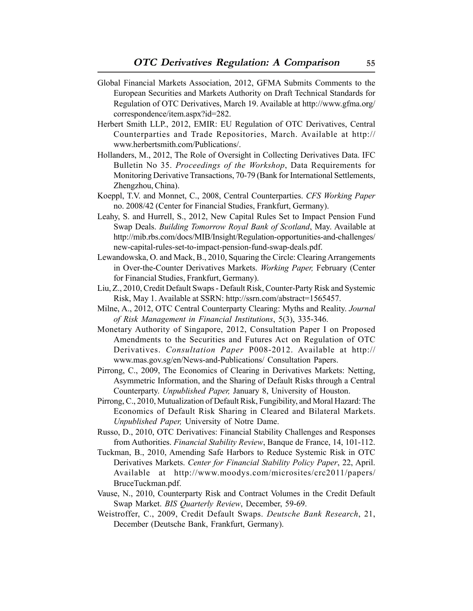- Global Financial Markets Association, 2012, GFMA Submits Comments to the European Securities and Markets Authority on Draft Technical Standards for Regulation of OTC Derivatives, March 19. Available at http://www.gfma.org/ correspondence/item.aspx?id=282.
- Herbert Smith LLP., 2012, EMIR: EU Regulation of OTC Derivatives, Central Counterparties and Trade Repositories, March. Available at http:// www.herbertsmith.com/Publications/.
- Hollanders, M., 2012, The Role of Oversight in Collecting Derivatives Data. IFC Bulletin No 35. *Proceedings of the Workshop*, Data Requirements for Monitoring Derivative Transactions, 70-79 (Bank for International Settlements, Zhengzhou, China).
- Koeppl, T.V. and Monnet, C., 2008, Central Counterparties. *CFS Working Paper* no. 2008/42 (Center for Financial Studies, Frankfurt, Germany).
- Leahy, S. and Hurrell, S., 2012, New Capital Rules Set to Impact Pension Fund Swap Deals. *Building Tomorrow Royal Bank of Scotland*, May. Available at http://mib.rbs.com/docs/MIB/Insight/Regulation-opportunities-and-challenges/ new-capital-rules-set-to-impact-pension-fund-swap-deals.pdf.
- Lewandowska, O. and Mack, B., 2010, Squaring the Circle: Clearing Arrangements in Over-the-Counter Derivatives Markets. *Working Paper,* February (Center for Financial Studies, Frankfurt, Germany).
- Liu, Z., 2010, Credit Default Swaps Default Risk, Counter-Party Risk and Systemic Risk, May 1. Available at SSRN: http://ssrn.com/abstract=1565457.
- Milne, A., 2012, OTC Central Counterparty Clearing: Myths and Reality. *Journal of Risk Management in Financial Institutions*, 5(3), 335-346.
- Monetary Authority of Singapore, 2012, Consultation Paper I on Proposed Amendments to the Securities and Futures Act on Regulation of OTC Derivatives. *Consultation Paper* P008-2012. Available at http:// www.mas.gov.sg/en/News-and-Publications/ Consultation Papers.
- Pirrong, C., 2009, The Economics of Clearing in Derivatives Markets: Netting, Asymmetric Information, and the Sharing of Default Risks through a Central Counterparty. *Unpublished Paper,* January 8, University of Houston.
- Pirrong, C., 2010, Mutualization of Default Risk, Fungibility, and Moral Hazard: The Economics of Default Risk Sharing in Cleared and Bilateral Markets. *Unpublished Paper,* University of Notre Dame.
- Russo, D., 2010, OTC Derivatives: Financial Stability Challenges and Responses from Authorities. *Financial Stability Review*, Banque de France, 14, 101-112.
- Tuckman, B., 2010, Amending Safe Harbors to Reduce Systemic Risk in OTC Derivatives Markets. *Center for Financial Stability Policy Paper*, 22, April. Available at http://www.moodys.com/microsites/crc2011/papers/ BruceTuckman.pdf.
- Vause, N., 2010, Counterparty Risk and Contract Volumes in the Credit Default Swap Market. *BIS Quarterly Review*, December, 59-69.
- Weistroffer, C., 2009, Credit Default Swaps. *Deutsche Bank Research*, 21, December (Deutsche Bank, Frankfurt, Germany).